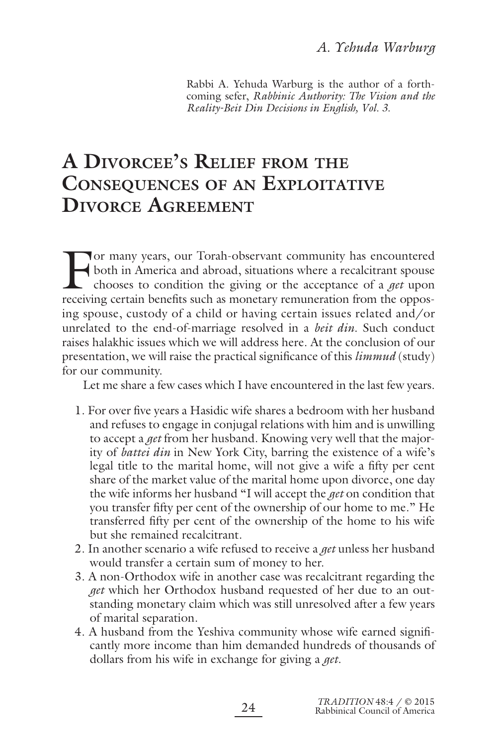Rabbi A. Yehuda Warburg is the author of a forthcoming sefer, *Rabbinic Authority: The Vision and the Reality-Beit Din Decisions in English, Vol. 3.*

# **A DIVORCEE'S RELIEF FROM THE CONSEQUENCES OF AN EXPLOITATIVE DIVORCE AGREEMENT**

For many years, our Torah-observant community has encountered<br>both in America and abroad, situations where a recalcitrant spouse<br>chooses to condition the giving or the acceptance of a *get* upon<br>receiving certain benefits both in America and abroad, situations where a recalcitrant spouse chooses to condition the giving or the acceptance of a *get* upon receiving certain benefits such as monetary remuneration from the opposing spouse, custody of a child or having certain issues related and/or unrelated to the end-of-marriage resolved in a *beit din*. Such conduct raises halakhic issues which we will address here. At the conclusion of our presentation, we will raise the practical significance of this *limmud* (study) for our community.

Let me share a few cases which I have encountered in the last few years.

- 1. For over five years a Hasidic wife shares a bedroom with her husband and refuses to engage in conjugal relations with him and is unwilling to accept a *get* from her husband. Knowing very well that the majority of *battei din* in New York City, barring the existence of a wife's legal title to the marital home, will not give a wife a fifty per cent share of the market value of the marital home upon divorce, one day the wife informs her husband "I will accept the *get* on condition that you transfer fifty per cent of the ownership of our home to me." He transferred fifty per cent of the ownership of the home to his wife but she remained recalcitrant.
- 2.In another scenario a wife refused to receive a *get* unless her husband would transfer a certain sum of money to her.
- 3.A non-Orthodox wife in another case was recalcitrant regarding the *get* which her Orthodox husband requested of her due to an outstanding monetary claim which was still unresolved after a few years of marital separation.
- 4. A husband from the Yeshiva community whose wife earned significantly more income than him demanded hundreds of thousands of dollars from his wife in exchange for giving a *get*.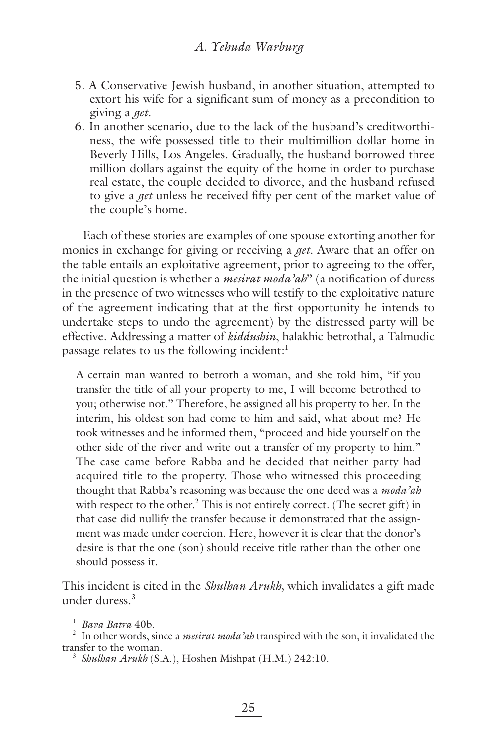- 5.A Conservative Jewish husband, in another situation, attempted to extort his wife for a significant sum of money as a precondition to giving a *get*.
- 6.In another scenario, due to the lack of the husband's creditworthiness, the wife possessed title to their multimillion dollar home in Beverly Hills, Los Angeles. Gradually, the husband borrowed three million dollars against the equity of the home in order to purchase real estate, the couple decided to divorce, and the husband refused to give a *get* unless he received fifty per cent of the market value of the couple's home.

Each of these stories are examples of one spouse extorting another for monies in exchange for giving or receiving a *get*. Aware that an offer on the table entails an exploitative agreement, prior to agreeing to the offer, the initial question is whether a *mesirat moda'ah*" (a notification of duress in the presence of two witnesses who will testify to the exploitative nature of the agreement indicating that at the first opportunity he intends to undertake steps to undo the agreement) by the distressed party will be effective. Addressing a matter of *kiddushin*, halakhic betrothal, a Talmudic passage relates to us the following incident:<sup>1</sup>

A certain man wanted to betroth a woman, and she told him, "if you transfer the title of all your property to me, I will become betrothed to you; otherwise not." Therefore, he assigned all his property to her. In the interim, his oldest son had come to him and said, what about me? He took witnesses and he informed them, "proceed and hide yourself on the other side of the river and write out a transfer of my property to him." The case came before Rabba and he decided that neither party had acquired title to the property. Those who witnessed this proceeding thought that Rabba's reasoning was because the one deed was a *moda'ah* with respect to the other.<sup>2</sup> This is not entirely correct. (The secret gift) in that case did nullify the transfer because it demonstrated that the assignment was made under coercion. Here, however it is clear that the donor's desire is that the one (son) should receive title rather than the other one should possess it.

This incident is cited in the *Shulhan Arukh,* which invalidates a gift made under duress.3

<sup>1</sup> *Bava Batra* 40b.

2 In other words, since a *mesirat moda'ah* transpired with the son, it invalidated the transfer to the woman.

<sup>3</sup> *Shulhan Arukh* (S.A.), Hoshen Mishpat (H.M.) 242:10.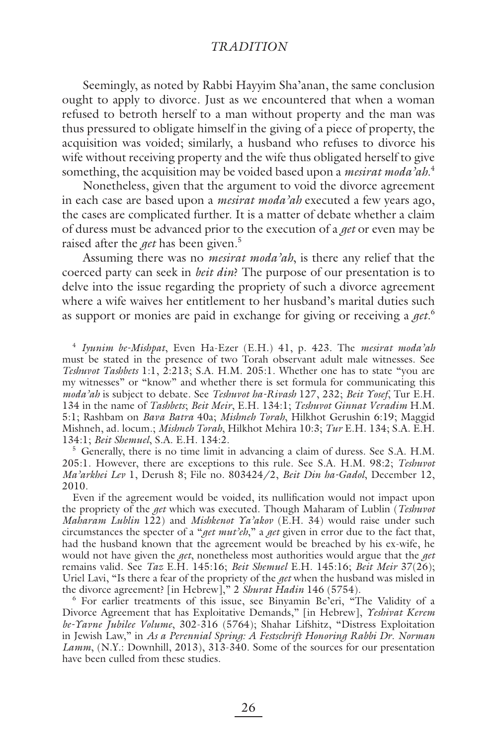Seemingly, as noted by Rabbi Hayyim Sha'anan, the same conclusion ought to apply to divorce. Just as we encountered that when a woman refused to betroth herself to a man without property and the man was thus pressured to obligate himself in the giving of a piece of property, the acquisition was voided; similarly, a husband who refuses to divorce his wife without receiving property and the wife thus obligated herself to give something, the acquisition may be voided based upon a *mesirat moda'ah*. 4

Nonetheless, given that the argument to void the divorce agreement in each case are based upon a *mesirat moda'ah* executed a few years ago, the cases are complicated further. It is a matter of debate whether a claim of duress must be advanced prior to the execution of a *get* or even may be raised after the *get* has been given.<sup>5</sup>

Assuming there was no *mesirat moda'ah*, is there any relief that the coerced party can seek in *beit din*? The purpose of our presentation is to delve into the issue regarding the propriety of such a divorce agreement where a wife waives her entitlement to her husband's marital duties such as support or monies are paid in exchange for giving or receiving a *get*. 6

<sup>4</sup> *Iyunim be-Mishpat*, Even Ha-Ezer (E.H.) 41, p. 423. The *mesirat moda'ah* must be stated in the presence of two Torah observant adult male witnesses. See *Teshuvot Tashbets* 1:1, 2:213; S.A. H.M. 205:1. Whether one has to state "you are my witnesses" or "know" and whether there is set formula for communicating this *moda'ah* is subject to debate. See *Teshuvot ha-Rivash* 127, 232; *Beit Yosef*, Tur E.H. 134 in the name of *Tashbets*; *Beit Meir*, E.H. 134:1; *Teshuvot Ginnat Veradim* H.M. 5:1; Rashbam on *Bava Batra* 40a; *Mishneh Torah*, Hilkhot Gerushin 6:19; Maggid Mishneh, ad. locum.; *Mishneh Torah*, Hilkhot Mehira 10:3; *Tur* E.H. 134; S.A. E.H. 134:1; *Beit Shemuel*, S.A. E.H. 134:2.

<sup>5</sup> Generally, there is no time limit in advancing a claim of duress. See S.A. H.M. 205:1. However, there are exceptions to this rule. See S.A. H.M. 98:2; *Teshuvot Ma'arkhei Lev* 1, Derush 8; File no. 803424/2, *Beit Din ha-Gadol*, December 12, 2010.

Even if the agreement would be voided, its nullification would not impact upon the propriety of the *get* which was executed. Though Maharam of Lublin (*Teshuvot Maharam Lublin* 122) and *Mishkenot Ya'akov* (E.H. 34) would raise under such circumstances the specter of a "*get mut'eh*," a *get* given in error due to the fact that, had the husband known that the agreement would be breached by his ex-wife, he would not have given the *get*, nonetheless most authorities would argue that the *get* remains valid. See *Taz* E.H. 145:16; *Beit Shemuel* E.H. 145:16; *Beit Meir* 37(26); Uriel Lavi, "Is there a fear of the propriety of the *get* when the husband was misled in the divorce agreement? [in Hebrew]," 2 *Shurat Hadin* 146 (5754). 6

<sup>6</sup> For earlier treatments of this issue, see Binyamin Be'eri, "The Validity of a Divorce Agreement that has Exploitative Demands," [in Hebrew], *Yeshivat Kerem be-Yavne Jubilee Volume*, 302-316 (5764); Shahar Lifshitz, "Distress Exploitation in Jewish Law," in *As a Perennial Spring: A Festschrift Honoring Rabbi Dr. Norman Lamm*, (N.Y.: Downhill, 2013), 313-340. Some of the sources for our presentation have been culled from these studies.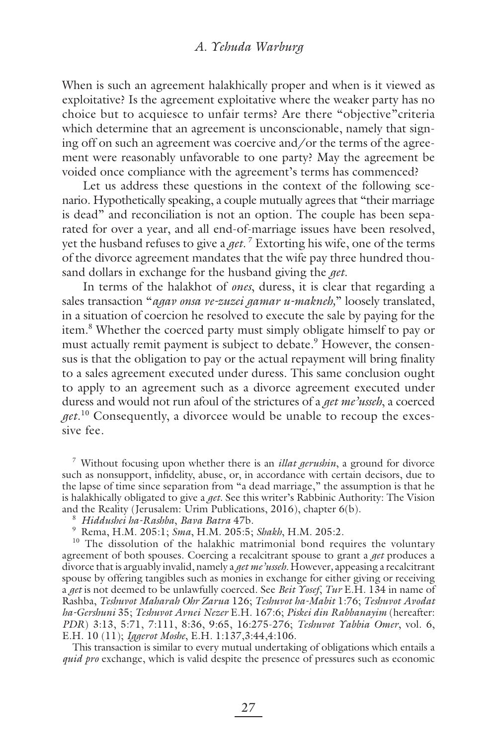When is such an agreement halakhically proper and when is it viewed as exploitative? Is the agreement exploitative where the weaker party has no choice but to acquiesce to unfair terms? Are there "objective"criteria which determine that an agreement is unconscionable, namely that signing off on such an agreement was coercive and/or the terms of the agreement were reasonably unfavorable to one party? May the agreement be voided once compliance with the agreement's terms has commenced?

Let us address these questions in the context of the following scenario. Hypothetically speaking, a couple mutually agrees that "their marriage is dead" and reconciliation is not an option. The couple has been separated for over a year, and all end-of-marriage issues have been resolved, yet the husband refuses to give a *get.* <sup>7</sup> Extorting his wife, one of the terms of the divorce agreement mandates that the wife pay three hundred thousand dollars in exchange for the husband giving the *get*.

In terms of the halakhot of *ones*, duress, it is clear that regarding a sales transaction "*agav onsa ve-zuzei gamar u-makneh,*" loosely translated, in a situation of coercion he resolved to execute the sale by paying for the item.<sup>8</sup> Whether the coerced party must simply obligate himself to pay or must actually remit payment is subject to debate.<sup>9</sup> However, the consensus is that the obligation to pay or the actual repayment will bring finality to a sales agreement executed under duress. This same conclusion ought to apply to an agreement such as a divorce agreement executed under duress and would not run afoul of the strictures of a *get me'usseh*, a coerced *get*. 10 Consequently, a divorcee would be unable to recoup the excessive fee.

7 Without focusing upon whether there is an *illat gerushin*, a ground for divorce such as nonsupport, infidelity, abuse, or, in accordance with certain decisors, due to the lapse of time since separation from "a dead marriage," the assumption is that he is halakhically obligated to give a *get*. See this writer's Rabbinic Authority: The Vision and the Reality (Jerusalem: Urim Publications, 2016), chapter 6(b).

<sup>8</sup> *Hiddushei ha-Rashba*, *Bava Batra* 47b.

9 Rema, H.M. 205:1; *Sma*, H.M. 205:5; *Shakh*, H.M. 205:2.

<sup>10</sup> The dissolution of the halakhic matrimonial bond requires the voluntary agreement of both spouses. Coercing a recalcitrant spouse to grant a *get* produces a divorce that is arguably invalid, namely a *get me'usseh.* However*,* appeasing a recalcitrant spouse by offering tangibles such as monies in exchange for either giving or receiving a *get* is not deemed to be unlawfully coerced. See *Beit Yosef*, *Tur* E.H. 134 in name of Rashba, *Teshuvot Maharah Ohr Zarua* 126; *Teshuvot ha-Mabit* 1:76; *Teshuvot Avodat ha-Gershuni* 35; *Teshuvot Avnei Nezer* E.H. 167:6; *Piskei din Rabbanayim* (hereafter: *PDR*) 3:13, 5:71, 7:111, 8:36, 9:65, 16:275-276; *Teshuvot Yabbia Omer*, vol. 6, E.H. 10 (11); *Iggerot Moshe*, E.H. 1:137,3:44,4:106.

This transaction is similar to every mutual undertaking of obligations which entails a *quid pro* exchange, which is valid despite the presence of pressures such as economic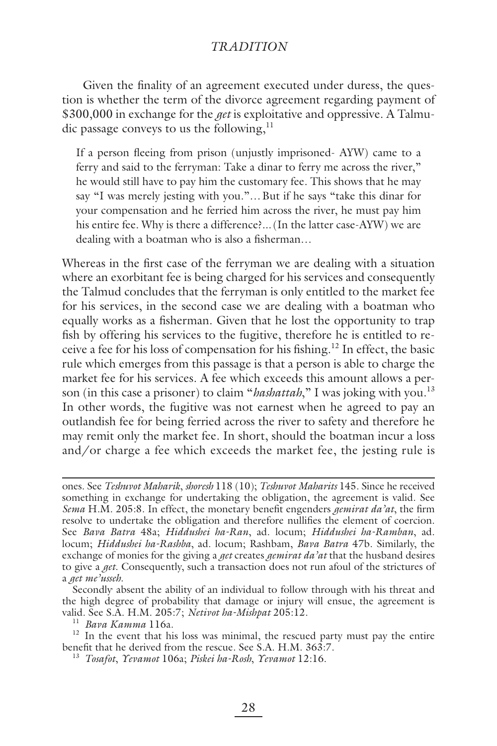Given the finality of an agreement executed under duress, the question is whether the term of the divorce agreement regarding payment of \$300,000 in exchange for the *get* is exploitative and oppressive. A Talmudic passage conveys to us the following, $<sup>11</sup>$ </sup>

If a person fleeing from prison (unjustly imprisoned- AYW) came to a ferry and said to the ferryman: Take a dinar to ferry me across the river," he would still have to pay him the customary fee. This shows that he may say "I was merely jesting with you."… But if he says "take this dinar for your compensation and he ferried him across the river, he must pay him his entire fee. Why is there a difference?... (In the latter case-AYW) we are dealing with a boatman who is also a fisherman...

Whereas in the first case of the ferryman we are dealing with a situation where an exorbitant fee is being charged for his services and consequently the Talmud concludes that the ferryman is only entitled to the market fee for his services, in the second case we are dealing with a boatman who equally works as a fisherman. Given that he lost the opportunity to trap fish by offering his services to the fugitive, therefore he is entitled to receive a fee for his loss of compensation for his fishing.<sup>12</sup> In effect, the basic rule which emerges from this passage is that a person is able to charge the market fee for his services. A fee which exceeds this amount allows a person (in this case a prisoner) to claim "*hashattah*," I was joking with you.<sup>13</sup> In other words, the fugitive was not earnest when he agreed to pay an outlandish fee for being ferried across the river to safety and therefore he may remit only the market fee. In short, should the boatman incur a loss and/or charge a fee which exceeds the market fee, the jesting rule is

ones. See *Teshuvot Maharik*, *shoresh* 118 (10); *Teshuvot Maharits* 145. Since he received something in exchange for undertaking the obligation, the agreement is valid. See *Sema* H.M. 205:8. In effect, the monetary benefit engenders *gemirat da'at*, the firm resolve to undertake the obligation and therefore nullifies the element of coercion. See *Bava Batra* 48a; *Hiddushei ha-Ran*, ad. locum; *Hiddushei ha-Ramban*, ad. locum; *Hiddushei ha-Rashba*, ad. locum; Rashbam, *Bava Batra* 47b. Similarly, the exchange of monies for the giving a *get* creates *gemirat da'at* that the husband desires to give a *get*. Consequently, such a transaction does not run afoul of the strictures of a *get me'usseh*.

Secondly absent the ability of an individual to follow through with his threat and the high degree of probability that damage or injury will ensue, the agreement is valid. See S.A. H.M. 205:7; *Netivot ha-Mishpat* 205:12. 11 *Bava Kamma* 116a.

 $12$  In the event that his loss was minimal, the rescued party must pay the entire benefit that he derived from the rescue. See S.A. H.M. 363:7.

<sup>13</sup> *Tosafot*, *Yevamot* 106a; *Piskei ha-Rosh*, *Yevamot* 12:16.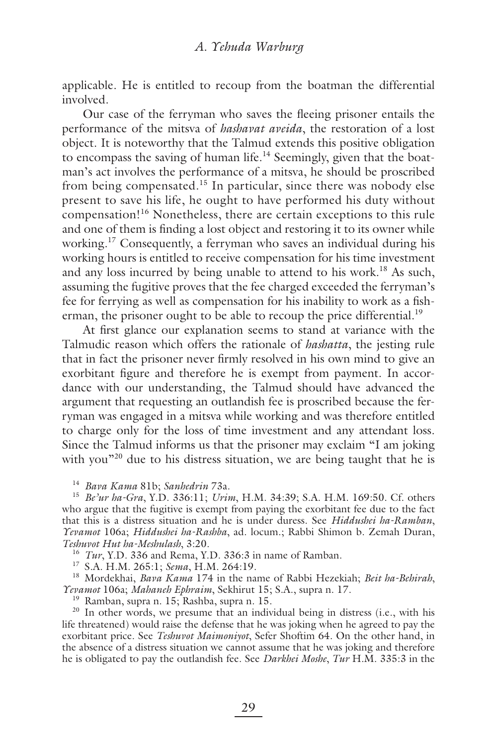applicable. He is entitled to recoup from the boatman the differential involved.

Our case of the ferryman who saves the fleeing prisoner entails the performance of the mitsva of *hashavat aveida*, the restoration of a lost object. It is noteworthy that the Talmud extends this positive obligation to encompass the saving of human life.<sup>14</sup> Seemingly, given that the boatman's act involves the performance of a mitsva, he should be proscribed from being compensated.15 In particular, since there was nobody else present to save his life, he ought to have performed his duty without compensation!16 Nonetheless, there are certain exceptions to this rule and one of them is finding a lost object and restoring it to its owner while working.<sup>17</sup> Consequently, a ferryman who saves an individual during his working hours is entitled to receive compensation for his time investment and any loss incurred by being unable to attend to his work.<sup>18</sup> As such, assuming the fugitive proves that the fee charged exceeded the ferryman's fee for ferrying as well as compensation for his inability to work as a fisherman, the prisoner ought to be able to recoup the price differential.<sup>19</sup>

At first glance our explanation seems to stand at variance with the Talmudic reason which offers the rationale of *hashatta*, the jesting rule that in fact the prisoner never firmly resolved in his own mind to give an exorbitant figure and therefore he is exempt from payment. In accordance with our understanding, the Talmud should have advanced the argument that requesting an outlandish fee is proscribed because the ferryman was engaged in a mitsva while working and was therefore entitled to charge only for the loss of time investment and any attendant loss. Since the Talmud informs us that the prisoner may exclaim "I am joking with you"<sup>20</sup> due to his distress situation, we are being taught that he is

<sup>14</sup> *Bava Kama* 81b; *Sanhedrin* 73a.

<sup>15</sup> *Be'ur ha-Gra*, Y.D. 336:11; *Urim*, H.M. 34:39; S.A. H.M. 169:50. Cf. others who argue that the fugitive is exempt from paying the exorbitant fee due to the fact that this is a distress situation and he is under duress. See *Hiddushei ha-Ramban*, *Yevamot* 106a; *Hiddushei ha-Rashba*, ad. locum.; Rabbi Shimon b. Zemah Duran, *Teshuvot Hut ha-Meshulash*, 3:20.

<sup>16</sup> *Tur*, Y.D. 336 and Rema, Y.D. 336:3 in name of Ramban.

17 S.A. H.M. 265:1; *Sema*, H.M. 264:19.

18 Mordekhai, *Bava Kama* 174 in the name of Rabbi Hezekiah; *Beit ha-Behirah*, *Yevamot* 106a; *Mahaneh Ephraim*, Sekhirut 15; S.A., supra n. 17.

19 Ramban, supra n. 15; Rashba, supra n. 15.

<sup>20</sup> In other words, we presume that an individual being in distress (i.e., with his life threatened) would raise the defense that he was joking when he agreed to pay the exorbitant price. See *Teshuvot Maimoniyot*, Sefer Shoftim 64. On the other hand, in the absence of a distress situation we cannot assume that he was joking and therefore he is obligated to pay the outlandish fee. See *Darkhei Moshe*, *Tur* H.M. 335:3 in the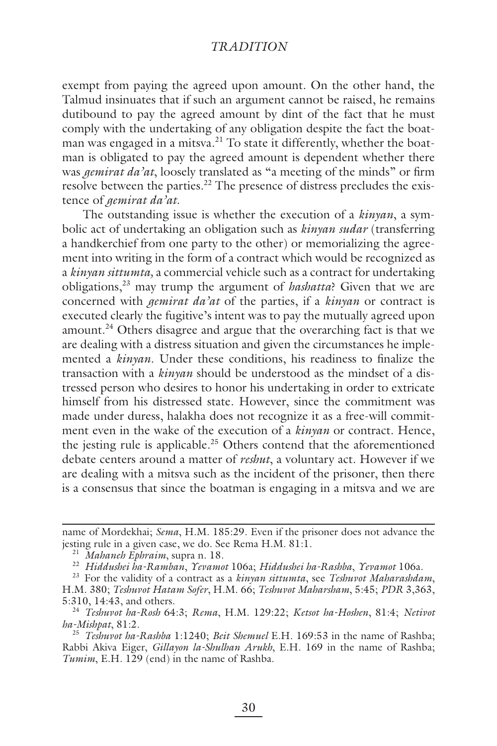exempt from paying the agreed upon amount. On the other hand, the Talmud insinuates that if such an argument cannot be raised, he remains dutibound to pay the agreed amount by dint of the fact that he must comply with the undertaking of any obligation despite the fact the boatman was engaged in a mitsva.<sup>21</sup> To state it differently, whether the boatman is obligated to pay the agreed amount is dependent whether there was *gemirat da'at*, loosely translated as "a meeting of the minds" or firm resolve between the parties.<sup>22</sup> The presence of distress precludes the existence of *gemirat da'at*.

The outstanding issue is whether the execution of a *kinyan*, a symbolic act of undertaking an obligation such as *kinyan sudar* (transferring a handkerchief from one party to the other) or memorializing the agreement into writing in the form of a contract which would be recognized as a *kinyan sittumta,* a commercial vehicle such as a contract for undertaking obligations,23 may trump the argument of *hashatta*? Given that we are concerned with *gemirat da'at* of the parties, if a *kinyan* or contract is executed clearly the fugitive's intent was to pay the mutually agreed upon amount.<sup>24</sup> Others disagree and argue that the overarching fact is that we are dealing with a distress situation and given the circumstances he implemented a *kinyan*. Under these conditions, his readiness to finalize the transaction with a *kinyan* should be understood as the mindset of a distressed person who desires to honor his undertaking in order to extricate himself from his distressed state. However, since the commitment was made under duress, halakha does not recognize it as a free-will commitment even in the wake of the execution of a *kinyan* or contract. Hence, the jesting rule is applicable.<sup>25</sup> Others contend that the aforementioned debate centers around a matter of *reshut*, a voluntary act. However if we are dealing with a mitsva such as the incident of the prisoner, then there is a consensus that since the boatman is engaging in a mitsva and we are

name of Mordekhai; *Sema*, H.M. 185:29. Even if the prisoner does not advance the jesting rule in a given case, we do. See Rema H.M. 81:1.

<sup>21</sup> *Mahaneh Ephraim*, supra n. 18.

<sup>22</sup> *Hiddushei ha-Ramban*, *Yevamot* 106a; *Hiddushei ha-Rashba*, *Yevamot* 106a.

<sup>23</sup> For the validity of a contract as a *kinyan sittumta*, see *Teshuvot Maharashdam*, H.M. 380; *Teshuvot Hatam Sofer*, H.M. 66; *Teshuvot Maharsham*, 5:45; *PDR* 3,363, 5:310, 14:43, and others.

<sup>24</sup> *Teshuvot ha-Rosh* 64:3; *Rema*, H.M. 129:22; *Ketsot ha-Hoshen*, 81:4; *Netivot ha-Mishpat*, 81:2.

<sup>25</sup> *Teshuvot ha-Rashba* 1:1240; *Beit Shemuel* E.H. 169:53 in the name of Rashba; Rabbi Akiva Eiger, *Gillayon la-Shulhan Arukh*, E.H. 169 in the name of Rashba; *Tumim*, E.H. 129 (end) in the name of Rashba.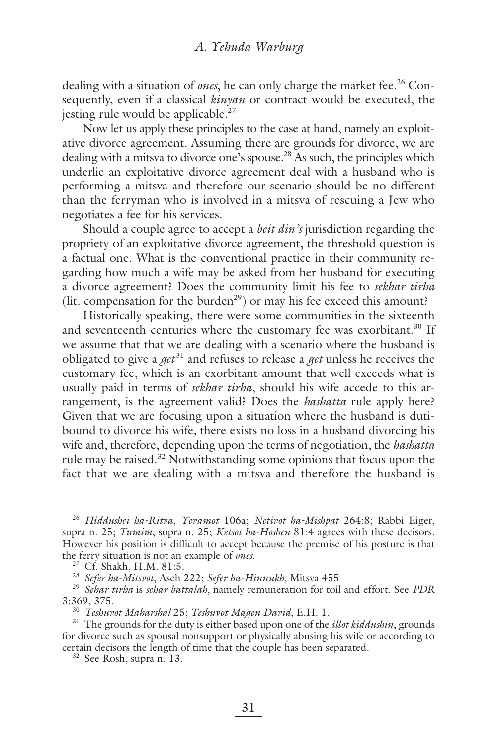dealing with a situation of *ones*, he can only charge the market fee.<sup>26</sup> Consequently, even if a classical *kinyan* or contract would be executed, the jesting rule would be applicable.<sup>27</sup>

Now let us apply these principles to the case at hand, namely an exploitative divorce agreement. Assuming there are grounds for divorce, we are dealing with a mitsva to divorce one's spouse.<sup>28</sup> As such, the principles which underlie an exploitative divorce agreement deal with a husband who is performing a mitsva and therefore our scenario should be no different than the ferryman who is involved in a mitsva of rescuing a Jew who negotiates a fee for his services.

Should a couple agree to accept a *beit din's* jurisdiction regarding the propriety of an exploitative divorce agreement, the threshold question is a factual one. What is the conventional practice in their community regarding how much a wife may be asked from her husband for executing a divorce agreement? Does the community limit his fee to *sekhar tirha* (lit. compensation for the burden<sup>29</sup>) or may his fee exceed this amount?

Historically speaking, there were some communities in the sixteenth and seventeenth centuries where the customary fee was exorbitant.<sup>30</sup> If we assume that that we are dealing with a scenario where the husband is obligated to give a *get* 31 and refuses to release a *get* unless he receives the customary fee, which is an exorbitant amount that well exceeds what is usually paid in terms of *sekhar tirha*, should his wife accede to this arrangement, is the agreement valid? Does the *hashatta* rule apply here? Given that we are focusing upon a situation where the husband is dutibound to divorce his wife*,* there exists no loss in a husband divorcing his wife and, therefore, depending upon the terms of negotiation, the *hashatta* rule may be raised.32 Notwithstanding some opinions that focus upon the fact that we are dealing with a mitsva and therefore the husband is

<sup>26</sup> *Hiddushei ha-Ritva*, *Yevamot* 106a; *Netivot ha-Mishpat* 264:8; Rabbi Eiger, supra n. 25; *Tumim*, supra n. 25; *Ketsot ha-Hoshen* 81:4 agrees with these decisors. However his position is difficult to accept because the premise of his posture is that the ferry situation is not an example of *ones*. 27 Cf. Shakh, H.M. 81:5.

<sup>28</sup> *Sefer ha-Mitsvot*, Aseh 222; *Sefer ha-Hinnukh*, Mitsva 455

<sup>29</sup> *Sehar tirha* is *sehar battalah*, namely remuneration for toil and effort. See *PDR* 3:369, 375.

<sup>30</sup> *Teshuvot Maharshal* 25; *Teshuvot Magen David*, E.H. 1.

<sup>31</sup> The grounds for the duty is either based upon one of the *illot kiddushin*, grounds for divorce such as spousal nonsupport or physically abusing his wife or according to certain decisors the length of time that the couple has been separated.

32 See Rosh, supra n. 13.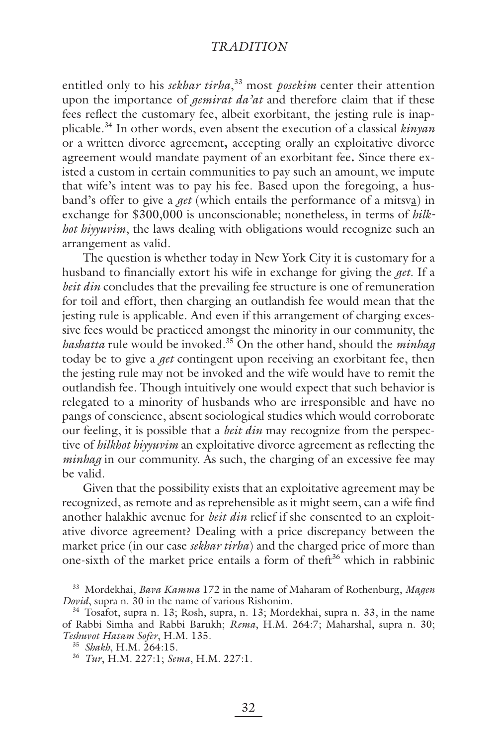entitled only to his *sekhar tirha*, 33 most *posekim* center their attention upon the importance of *gemirat da'at* and therefore claim that if these fees reflect the customary fee, albeit exorbitant, the jesting rule is inapplicable.34 In other words, even absent the execution of a classical *kinyan* or a written divorce agreement**,** accepting orally an exploitative divorce agreement would mandate payment of an exorbitant fee**.** Since there existed a custom in certain communities to pay such an amount, we impute that wife's intent was to pay his fee. Based upon the foregoing, a husband's offer to give a *get* (which entails the performance of a mitsva) in exchange for \$300,000 is unconscionable; nonetheless, in terms of *hilkhot hiyyuvim*, the laws dealing with obligations would recognize such an arrangement as valid.

The question is whether today in New York City it is customary for a husband to financially extort his wife in exchange for giving the *get*. If a *beit din* concludes that the prevailing fee structure is one of remuneration for toil and effort, then charging an outlandish fee would mean that the jesting rule is applicable. And even if this arrangement of charging excessive fees would be practiced amongst the minority in our community, the *hashatta* rule would be invoked.35 On the other hand, should the *minhag* today be to give a *get* contingent upon receiving an exorbitant fee, then the jesting rule may not be invoked and the wife would have to remit the outlandish fee. Though intuitively one would expect that such behavior is relegated to a minority of husbands who are irresponsible and have no pangs of conscience, absent sociological studies which would corroborate our feeling, it is possible that a *beit din* may recognize from the perspective of *hilkhot hiyyuvim* an exploitative divorce agreement as reflecting the *minhag* in our community. As such, the charging of an excessive fee may be valid.

Given that the possibility exists that an exploitative agreement may be recognized, as remote and as reprehensible as it might seem, can a wife find another halakhic avenue for *beit din* relief if she consented to an exploitative divorce agreement? Dealing with a price discrepancy between the market price (in our case *sekhar tirha*) and the charged price of more than one-sixth of the market price entails a form of theft<sup>36</sup> which in rabbinic

<sup>33</sup> Mordekhai, *Bava Kamma* 172 in the name of Maharam of Rothenburg, *Magen Dovid*, supra n. 30 in the name of various Rishonim.

<sup>34</sup> Tosafot, supra n. 13; Rosh, supra, n. 13; Mordekhai, supra n. 33, in the name of Rabbi Simha and Rabbi Barukh; *Rema*, H.M. 264:7; Maharshal, supra n. 30;

*Teshuvot Hatam Sofer*, H.M. 135. 35 *Shakh*, H.M. 264:15.

<sup>36</sup> *Tur*, H.M. 227:1; *Sema*, H.M. 227:1.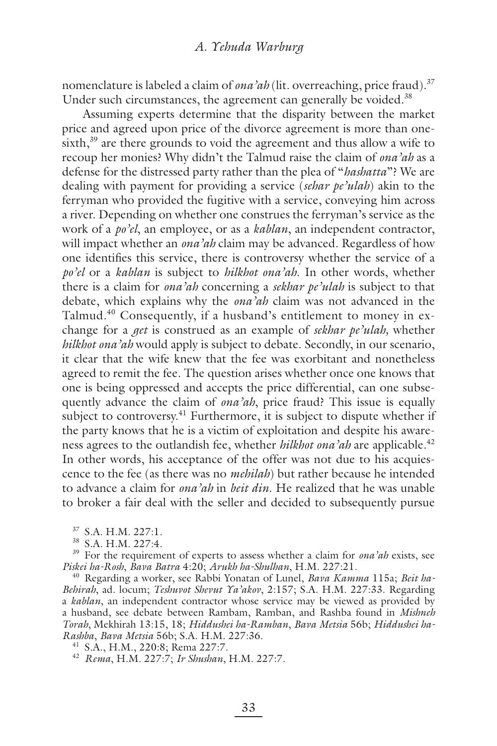nomenclature is labeled a claim of *ona'ah* (lit. overreaching, price fraud).<sup>37</sup> Under such circumstances, the agreement can generally be voided.<sup>38</sup>

Assuming experts determine that the disparity between the market price and agreed upon price of the divorce agreement is more than onesixth,<sup>39</sup> are there grounds to void the agreement and thus allow a wife to recoup her monies? Why didn't the Talmud raise the claim of *ona'ah* as a defense for the distressed party rather than the plea of "*hashatta*"? We are dealing with payment for providing a service (*sehar pe'ulah*) akin to the ferryman who provided the fugitive with a service, conveying him across a river. Depending on whether one construes the ferryman's service as the work of a *po'el*, an employee, or as a *kablan*, an independent contractor, will impact whether an *ona'ah* claim may be advanced. Regardless of how one identifies this service, there is controversy whether the service of a *po'el* or a *kablan* is subject to *hilkhot ona'ah*. In other words, whether there is a claim for *ona'ah* concerning a *sekhar pe'ulah* is subject to that debate, which explains why the *ona'ah* claim was not advanced in the Talmud.40 Consequently, if a husband's entitlement to money in exchange for a *get* is construed as an example of *sekhar pe'ulah,* whether *hilkhot ona'ah* would apply is subject to debate. Secondly, in our scenario, it clear that the wife knew that the fee was exorbitant and nonetheless agreed to remit the fee. The question arises whether once one knows that one is being oppressed and accepts the price differential, can one subsequently advance the claim of *ona'ah*, price fraud? This issue is equally subject to controversy. $41$  Furthermore, it is subject to dispute whether if the party knows that he is a victim of exploitation and despite his awareness agrees to the outlandish fee, whether *hilkhot ona'ah* are applicable.<sup>42</sup> In other words, his acceptance of the offer was not due to his acquiescence to the fee (as there was no *mehilah*) but rather because he intended to advance a claim for *ona'ah* in *beit din*. He realized that he was unable to broker a fair deal with the seller and decided to subsequently pursue

37 S.A. H.M. 227:1.

38 S.A. H.M. 227:4.

39 For the requirement of experts to assess whether a claim for *ona'ah* exists, see *Piskei ha-Rosh*, *Bava Batra* 4:20; *Arukh ha-Shulhan*, H.M. 227:21.

40 Regarding a worker, see Rabbi Yonatan of Lunel, *Bava Kamma* 115a; *Beit ha-Behirah*, ad. locum; *Teshuvot Shevut Ya'akov*, 2:157; S.A. H.M. 227:33. Regarding a *kablan*, an independent contractor whose service may be viewed as provided by a husband, see debate between Rambam, Ramban, and Rashba found in *Mishneh Torah*, Mekhirah 13:15, 18; *Hiddushei ha-Ramban*, *Bava Metsia* 56b; *Hiddushei ha-Rashba*, *Bava Metsia* 56b; S.A. H.M. 227:36.

41 S.A., H.M., 220:8; Rema 227:7.

<sup>42</sup> *Rema*, H.M. 227:7; *Ir Shushan*, H.M. 227:7.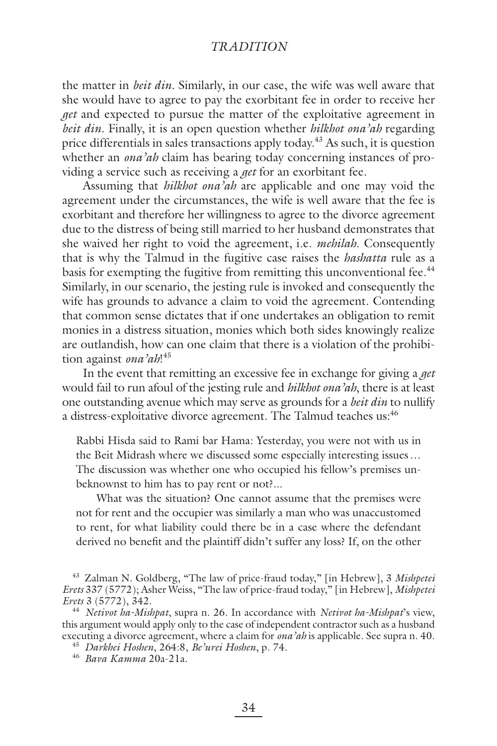the matter in *beit din*. Similarly, in our case, the wife was well aware that she would have to agree to pay the exorbitant fee in order to receive her *get* and expected to pursue the matter of the exploitative agreement in *beit din*. Finally, it is an open question whether *hilkhot ona'ah* regarding price differentials in sales transactions apply today.<sup>43</sup> As such, it is question whether an *ona'ah* claim has bearing today concerning instances of providing a service such as receiving a *get* for an exorbitant fee.

Assuming that *hilkhot ona'ah* are applicable and one may void the agreement under the circumstances, the wife is well aware that the fee is exorbitant and therefore her willingness to agree to the divorce agreement due to the distress of being still married to her husband demonstrates that she waived her right to void the agreement, i.e. *mehilah*. Consequently that is why the Talmud in the fugitive case raises the *hashatta* rule as a basis for exempting the fugitive from remitting this unconventional fee.<sup>44</sup> Similarly, in our scenario, the jesting rule is invoked and consequently the wife has grounds to advance a claim to void the agreement. Contending that common sense dictates that if one undertakes an obligation to remit monies in a distress situation, monies which both sides knowingly realize are outlandish, how can one claim that there is a violation of the prohibition against *ona'ah*! 45

In the event that remitting an excessive fee in exchange for giving a *get* would fail to run afoul of the jesting rule and *hilkhot ona'ah*, there is at least one outstanding avenue which may serve as grounds for a *beit din* to nullify a distress-exploitative divorce agreement. The Talmud teaches us:<sup>46</sup>

Rabbi Hisda said to Rami bar Hama: Yesterday, you were not with us in the Beit Midrash where we discussed some especially interesting issues … The discussion was whether one who occupied his fellow's premises unbeknownst to him has to pay rent or not?...

What was the situation? One cannot assume that the premises were not for rent and the occupier was similarly a man who was unaccustomed to rent, for what liability could there be in a case where the defendant derived no benefit and the plaintiff didn't suffer any loss? If, on the other

<sup>43</sup> Zalman N. Goldberg, "The law of price-fraud today," [in Hebrew], 3 *Mishpetei Erets* 337 (5772); Asher Weiss, "The law of price-fraud today," [in Hebrew], *Mishpetei Erets* 3 (5772), 342.

<sup>44</sup> *Netivot ha-Mishpat*, supra n. 26. In accordance with *Netivot ha-Mishpat*'s view, this argument would apply only to the case of independent contractor such as a husband executing a divorce agreement, where a claim for *ona'ah* is applicable. See supra n. 40.

<sup>45</sup> *Darkhei Hoshen*, 264:8, *Be'urei Hoshen*, p. 74.

<sup>46</sup> *Bava Kamma* 20a-21a.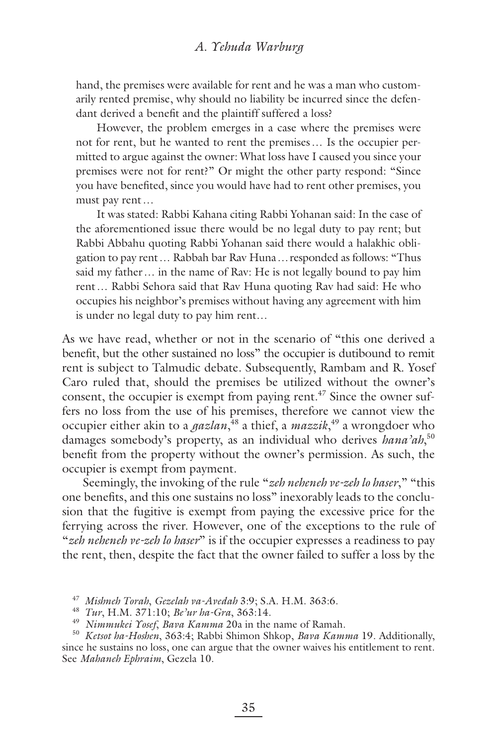hand, the premises were available for rent and he was a man who customarily rented premise, why should no liability be incurred since the defendant derived a benefit and the plaintiff suffered a loss?

However, the problem emerges in a case where the premises were not for rent, but he wanted to rent the premises … Is the occupier permitted to argue against the owner: What loss have I caused you since your premises were not for rent?" Or might the other party respond: "Since you have benefited, since you would have had to rent other premises, you must pay rent …

It was stated: Rabbi Kahana citing Rabbi Yohanan said: In the case of the aforementioned issue there would be no legal duty to pay rent; but Rabbi Abbahu quoting Rabbi Yohanan said there would a halakhic obligation to pay rent … Rabbah bar Rav Huna … responded as follows: "Thus said my father … in the name of Rav: He is not legally bound to pay him rent … Rabbi Sehora said that Rav Huna quoting Rav had said: He who occupies his neighbor's premises without having any agreement with him is under no legal duty to pay him rent…

As we have read, whether or not in the scenario of "this one derived a benefit, but the other sustained no loss" the occupier is dutibound to remit rent is subject to Talmudic debate. Subsequently, Rambam and R. Yosef Caro ruled that, should the premises be utilized without the owner's consent, the occupier is exempt from paying rent. $47$  Since the owner suffers no loss from the use of his premises, therefore we cannot view the occupier either akin to a *gazlan*, 48 a thief, a *mazzik*, 49 a wrongdoer who damages somebody's property, as an individual who derives *hana'ah*, 50 benefit from the property without the owner's permission. As such, the occupier is exempt from payment.

Seemingly, the invoking of the rule "*zeh neheneh ve-zeh lo haser*," "this one benefits, and this one sustains no loss" inexorably leads to the conclusion that the fugitive is exempt from paying the excessive price for the ferrying across the river. However, one of the exceptions to the rule of "*zeh neheneh ve-zeh lo haser*" is if the occupier expresses a readiness to pay the rent, then, despite the fact that the owner failed to suffer a loss by the

<sup>47</sup> *Mishneh Torah*, *Gezelah va-Avedah* 3:9; S.A. H.M. 363:6.

<sup>48</sup> *Tur*, H.M. 371:10; *Be'ur ha-Gra*, 363:14.

<sup>49</sup> *Nimmukei Yosef*, *Bava Kamma* 20a in the name of Ramah.

<sup>50</sup> *Ketsot ha-Hoshen*, 363:4; Rabbi Shimon Shkop, *Bava Kamma* 19. Additionally, since he sustains no loss, one can argue that the owner waives his entitlement to rent.

See *Mahaneh Ephraim*, Gezela 10.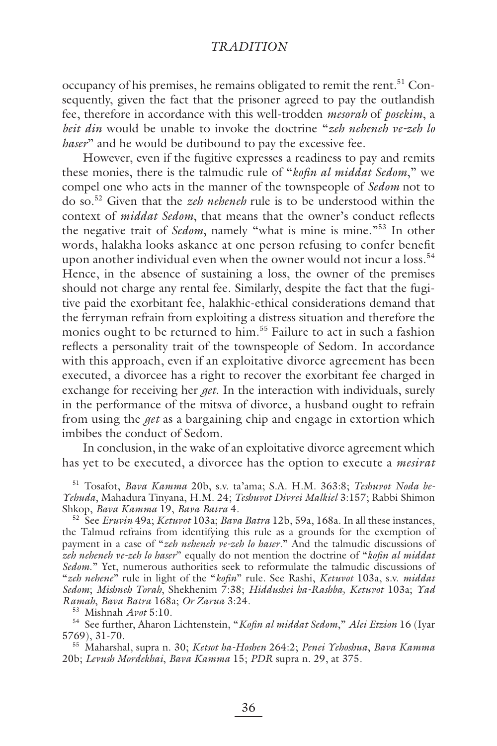occupancy of his premises, he remains obligated to remit the rent.<sup>51</sup> Consequently, given the fact that the prisoner agreed to pay the outlandish fee, therefore in accordance with this well-trodden *mesorah* of *posekim*, a *beit din* would be unable to invoke the doctrine "*zeh neheneh ve-zeh lo haser*" and he would be dutibound to pay the excessive fee.

However, even if the fugitive expresses a readiness to pay and remits these monies, there is the talmudic rule of "*kofin al middat Sedom*," we compel one who acts in the manner of the townspeople of *Sedom* not to do so.52 Given that the *zeh neheneh* rule is to be understood within the context of *middat Sedom*, that means that the owner's conduct reflects the negative trait of *Sedom*, namely "what is mine is mine."53 In other words, halakha looks askance at one person refusing to confer benefit upon another individual even when the owner would not incur a loss.<sup>54</sup> Hence, in the absence of sustaining a loss, the owner of the premises should not charge any rental fee. Similarly, despite the fact that the fugitive paid the exorbitant fee, halakhic-ethical considerations demand that the ferryman refrain from exploiting a distress situation and therefore the monies ought to be returned to him.55 Failure to act in such a fashion reflects a personality trait of the townspeople of Sedom. In accordance with this approach, even if an exploitative divorce agreement has been executed, a divorcee has a right to recover the exorbitant fee charged in exchange for receiving her *get*. In the interaction with individuals, surely in the performance of the mitsva of divorce, a husband ought to refrain from using the *get* as a bargaining chip and engage in extortion which imbibes the conduct of Sedom.

In conclusion, in the wake of an exploitative divorce agreement which has yet to be executed, a divorcee has the option to execute a *mesirat* 

51 Tosafot, *Bava Kamma* 20b, s.v. ta'ama; S.A. H.M. 363:8; *Teshuvot Noda be-Yehuda*, Mahadura Tinyana, H.M. 24; *Teshuvot Divrei Malkiel* 3:157; Rabbi Shimon Shkop, *Bava Kamma* 19, *Bava Batra* 4.

52 See *Eruvin* 49a; *Ketuvot* 103a; *Bava Batra* 12b, 59a, 168a. In all these instances, the Talmud refrains from identifying this rule as a grounds for the exemption of payment in a case of "*zeh neheneh ve-zeh lo haser.*" And the talmudic discussions of zeh neheneh ve-zeh lo haser" equally do not mention the doctrine of "kofin al middat *Sedom*." Yet, numerous authorities seek to reformulate the talmudic discussions of "*zeh nehene*" rule in light of the "*kofi n*" rule. See Rashi, *Ketuvot* 103a, s.v. *middat Sedom*; *Mishneh Torah*, Shekhenim 7:38; *Hiddushei ha-Rashba, Ketuvot* 103a; *Yad Ramah*, *Bava Batra* 168a; *Or Zarua* 3:24.

53 Mishnah *Avot* 5:10.

54 See further, Aharon Lichtenstein, "*Kofi n al middat Sedom*," *Alei Etzion* 16 (Iyar 5769), 31-70.

55 Maharshal, supra n. 30; *Ketsot ha-Hoshen* 264:2; *Penei Yehoshua*, *Bava Kamma* 20b; *Levush Mordekhai*, *Bava Kamma* 15; *PDR* supra n. 29, at 375.